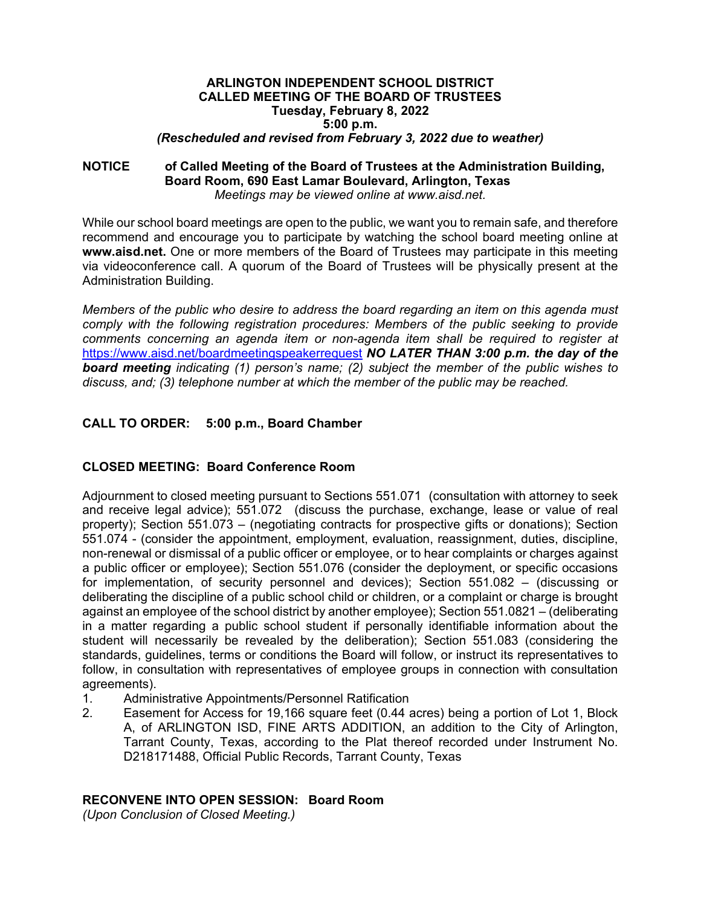#### **ARLINGTON INDEPENDENT SCHOOL DISTRICT CALLED MEETING OF THE BOARD OF TRUSTEES Tuesday, February 8, 2022 5:00 p.m.**  *(Rescheduled and revised from February 3, 2022 due to weather)*

#### **NOTICE of Called Meeting of the Board of Trustees at the Administration Building, Board Room, 690 East Lamar Boulevard, Arlington, Texas**  *Meetings may be viewed online at www.aisd.net.*

While our school board meetings are open to the public, we want you to remain safe, and therefore recommend and encourage you to participate by watching the school board meeting online at **www.aisd.net.** One or more members of the Board of Trustees may participate in this meeting via videoconference call. A quorum of the Board of Trustees will be physically present at the Administration Building.

*Members of the public who desire to address the board regarding an item on this agenda must comply with the following registration procedures: Members of the public seeking to provide comments concerning an agenda item or non-agenda item shall be required to register at*  https://www.aisd.net/boardmeetingspeakerrequest *NO LATER THAN 3:00 p.m. the day of the board meeting indicating (1) person's name; (2) subject the member of the public wishes to discuss, and; (3) telephone number at which the member of the public may be reached.* 

# **CALL TO ORDER: 5:00 p.m., Board Chamber**

# **CLOSED MEETING: Board Conference Room**

Adjournment to closed meeting pursuant to Sections 551.071 (consultation with attorney to seek and receive legal advice); 551.072 (discuss the purchase, exchange, lease or value of real property); Section 551.073 – (negotiating contracts for prospective gifts or donations); Section 551.074 - (consider the appointment, employment, evaluation, reassignment, duties, discipline, non-renewal or dismissal of a public officer or employee, or to hear complaints or charges against a public officer or employee); Section 551.076 (consider the deployment, or specific occasions for implementation, of security personnel and devices); Section 551.082 – (discussing or deliberating the discipline of a public school child or children, or a complaint or charge is brought against an employee of the school district by another employee); Section 551.0821 – (deliberating in a matter regarding a public school student if personally identifiable information about the student will necessarily be revealed by the deliberation); Section 551.083 (considering the standards, guidelines, terms or conditions the Board will follow, or instruct its representatives to follow, in consultation with representatives of employee groups in connection with consultation agreements).

- 1. Administrative Appointments/Personnel Ratification
- 2. Easement for Access for 19,166 square feet (0.44 acres) being a portion of Lot 1, Block A, of ARLINGTON ISD, FINE ARTS ADDITION, an addition to the City of Arlington, Tarrant County, Texas, according to the Plat thereof recorded under Instrument No. D218171488, Official Public Records, Tarrant County, Texas

# **RECONVENE INTO OPEN SESSION: Board Room**

*(Upon Conclusion of Closed Meeting.)*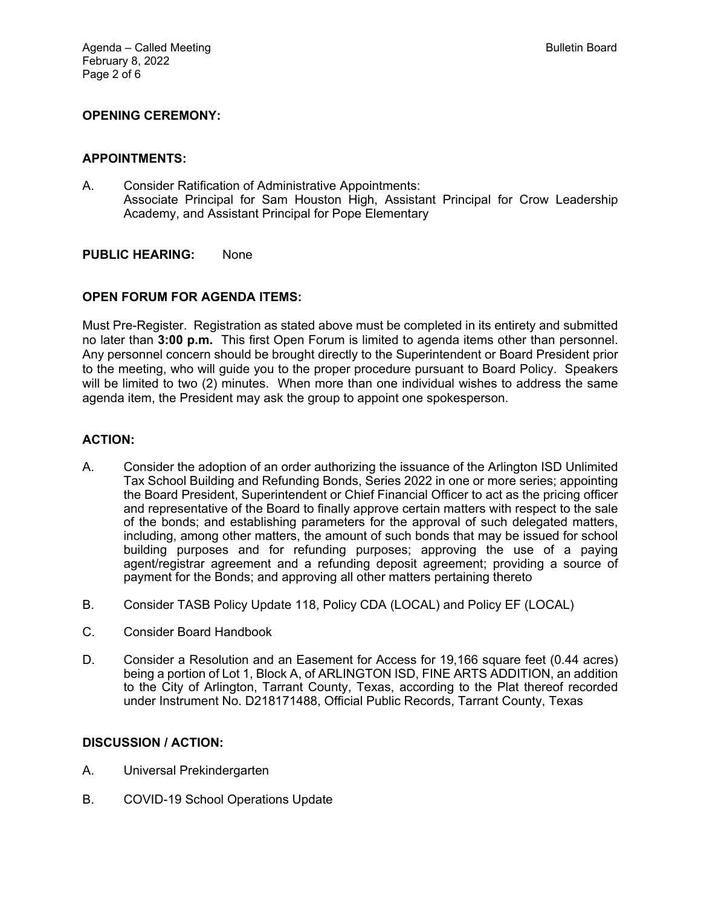## **OPENING CEREMONY:**

#### **APPOINTMENTS:**

A. Consider Ratification of Administrative Appointments: Associate Principal for Sam Houston High, Assistant Principal for Crow Leadership Academy, and Assistant Principal for Pope Elementary

#### **PUBLIC HEARING:** None

#### **OPEN FORUM FOR AGENDA ITEMS:**

Must Pre-Register. Registration as stated above must be completed in its entirety and submitted no later than **3:00 p.m.** This first Open Forum is limited to agenda items other than personnel. Any personnel concern should be brought directly to the Superintendent or Board President prior to the meeting, who will guide you to the proper procedure pursuant to Board Policy. Speakers will be limited to two (2) minutes. When more than one individual wishes to address the same agenda item, the President may ask the group to appoint one spokesperson.

#### **ACTION:**

- A. Consider the adoption of an order authorizing the issuance of the Arlington ISD Unlimited Tax School Building and Refunding Bonds, Series 2022 in one or more series; appointing the Board President, Superintendent or Chief Financial Officer to act as the pricing officer and representative of the Board to finally approve certain matters with respect to the sale of the bonds; and establishing parameters for the approval of such delegated matters, including, among other matters, the amount of such bonds that may be issued for school building purposes and for refunding purposes; approving the use of a paying agent/registrar agreement and a refunding deposit agreement; providing a source of payment for the Bonds; and approving all other matters pertaining thereto
- B. Consider TASB Policy Update 118, Policy CDA (LOCAL) and Policy EF (LOCAL)
- C. Consider Board Handbook
- D. Consider a Resolution and an Easement for Access for 19,166 square feet (0.44 acres) being a portion of Lot 1, Block A, of ARLINGTON ISD, FINE ARTS ADDITION, an addition to the City of Arlington, Tarrant County, Texas, according to the Plat thereof recorded under Instrument No. D218171488, Official Public Records, Tarrant County, Texas

#### **DISCUSSION / ACTION:**

- A. Universal Prekindergarten
- B. COVID-19 School Operations Update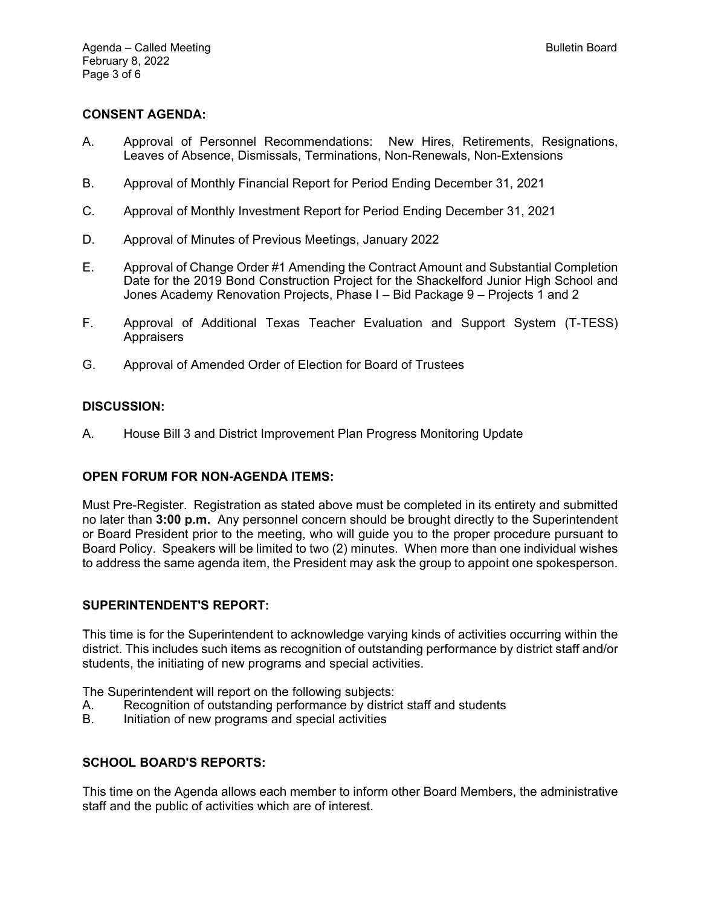## **CONSENT AGENDA:**

- A. Approval of Personnel Recommendations: New Hires, Retirements, Resignations, Leaves of Absence, Dismissals, Terminations, Non-Renewals, Non-Extensions
- B. Approval of Monthly Financial Report for Period Ending December 31, 2021
- C. Approval of Monthly Investment Report for Period Ending December 31, 2021
- D. Approval of Minutes of Previous Meetings, January 2022
- E. Approval of Change Order #1 Amending the Contract Amount and Substantial Completion Date for the 2019 Bond Construction Project for the Shackelford Junior High School and Jones Academy Renovation Projects, Phase I – Bid Package 9 – Projects 1 and 2
- F. Approval of Additional Texas Teacher Evaluation and Support System (T-TESS) Appraisers
- G. Approval of Amended Order of Election for Board of Trustees

#### **DISCUSSION:**

A. House Bill 3 and District Improvement Plan Progress Monitoring Update

#### **OPEN FORUM FOR NON-AGENDA ITEMS:**

Must Pre-Register. Registration as stated above must be completed in its entirety and submitted no later than **3:00 p.m.** Any personnel concern should be brought directly to the Superintendent or Board President prior to the meeting, who will guide you to the proper procedure pursuant to Board Policy. Speakers will be limited to two (2) minutes. When more than one individual wishes to address the same agenda item, the President may ask the group to appoint one spokesperson.

#### **SUPERINTENDENT'S REPORT:**

This time is for the Superintendent to acknowledge varying kinds of activities occurring within the district. This includes such items as recognition of outstanding performance by district staff and/or students, the initiating of new programs and special activities.

The Superintendent will report on the following subjects:

- A. Recognition of outstanding performance by district staff and students<br>B. Initiation of new programs and special activities
- Initiation of new programs and special activities

#### **SCHOOL BOARD'S REPORTS:**

This time on the Agenda allows each member to inform other Board Members, the administrative staff and the public of activities which are of interest.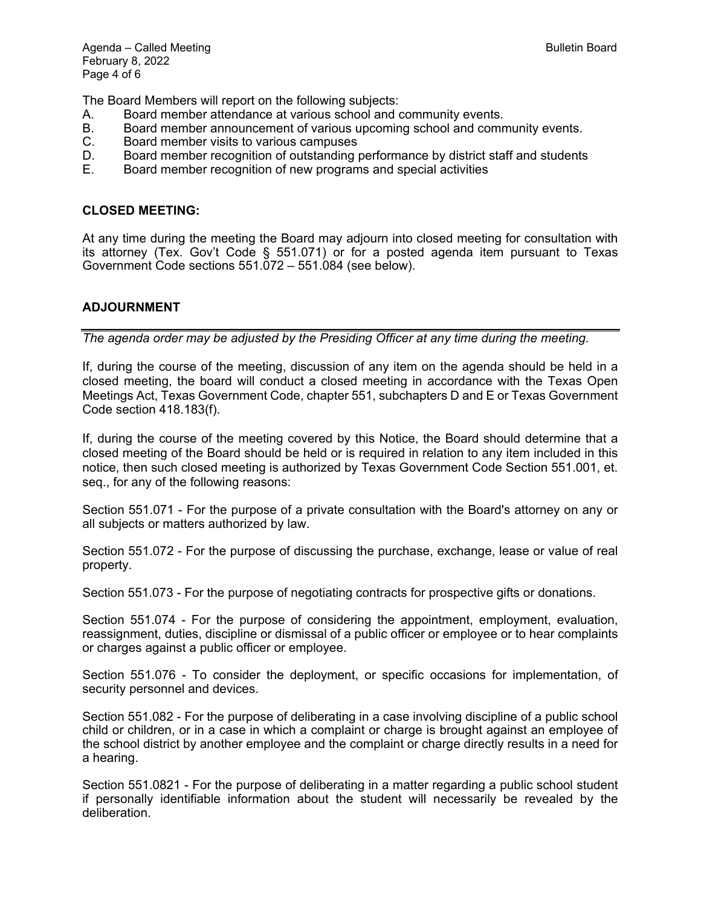The Board Members will report on the following subjects:

- A. Board member attendance at various school and community events.
- B. Board member announcement of various upcoming school and community events.<br>C. Board member visits to various campuses
- Board member visits to various campuses
- D. Board member recognition of outstanding performance by district staff and students <br>E. Board member recognition of new programs and special activities
- Board member recognition of new programs and special activities

## **CLOSED MEETING:**

At any time during the meeting the Board may adjourn into closed meeting for consultation with its attorney (Tex. Gov't Code § 551.071) or for a posted agenda item pursuant to Texas Government Code sections 551.072 – 551.084 (see below).

# **ADJOURNMENT**

*The agenda order may be adjusted by the Presiding Officer at any time during the meeting.* 

If, during the course of the meeting, discussion of any item on the agenda should be held in a closed meeting, the board will conduct a closed meeting in accordance with the Texas Open Meetings Act, Texas Government Code, chapter 551, subchapters D and E or Texas Government Code section 418.183(f).

If, during the course of the meeting covered by this Notice, the Board should determine that a closed meeting of the Board should be held or is required in relation to any item included in this notice, then such closed meeting is authorized by Texas Government Code Section 551.001, et. seq., for any of the following reasons:

Section 551.071 - For the purpose of a private consultation with the Board's attorney on any or all subjects or matters authorized by law.

Section 551.072 - For the purpose of discussing the purchase, exchange, lease or value of real property.

Section 551.073 - For the purpose of negotiating contracts for prospective gifts or donations.

Section 551.074 - For the purpose of considering the appointment, employment, evaluation, reassignment, duties, discipline or dismissal of a public officer or employee or to hear complaints or charges against a public officer or employee.

Section 551.076 - To consider the deployment, or specific occasions for implementation, of security personnel and devices.

Section 551.082 - For the purpose of deliberating in a case involving discipline of a public school child or children, or in a case in which a complaint or charge is brought against an employee of the school district by another employee and the complaint or charge directly results in a need for a hearing.

Section 551.0821 - For the purpose of deliberating in a matter regarding a public school student if personally identifiable information about the student will necessarily be revealed by the deliberation.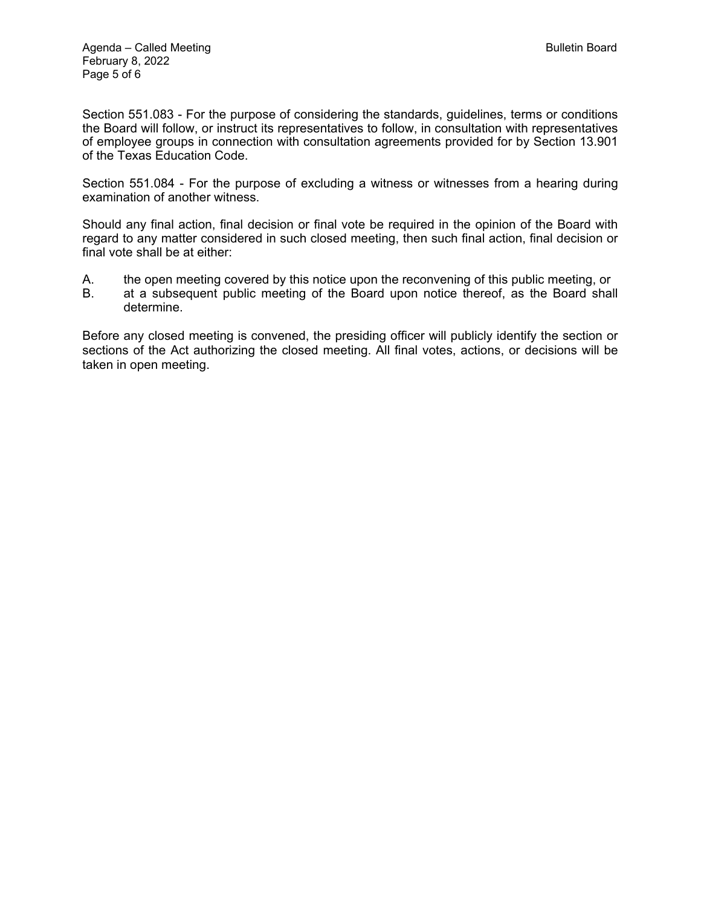Section 551.083 - For the purpose of considering the standards, guidelines, terms or conditions the Board will follow, or instruct its representatives to follow, in consultation with representatives of employee groups in connection with consultation agreements provided for by Section 13.901 of the Texas Education Code.

Section 551.084 - For the purpose of excluding a witness or witnesses from a hearing during examination of another witness.

Should any final action, final decision or final vote be required in the opinion of the Board with regard to any matter considered in such closed meeting, then such final action, final decision or final vote shall be at either:

- A. the open meeting covered by this notice upon the reconvening of this public meeting, or
- B. at a subsequent public meeting of the Board upon notice thereof, as the Board shall determine.

Before any closed meeting is convened, the presiding officer will publicly identify the section or sections of the Act authorizing the closed meeting. All final votes, actions, or decisions will be taken in open meeting.